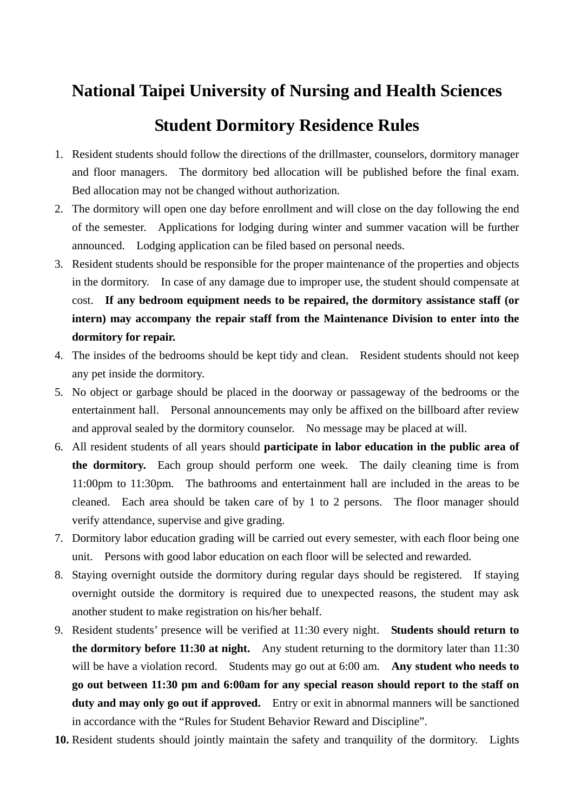## **National Taipei University of Nursing and Health Sciences**

## **Student Dormitory Residence Rules**

- 1. Resident students should follow the directions of the drillmaster, counselors, dormitory manager and floor managers. The dormitory bed allocation will be published before the final exam. Bed allocation may not be changed without authorization.
- 2. The dormitory will open one day before enrollment and will close on the day following the end of the semester. Applications for lodging during winter and summer vacation will be further announced. Lodging application can be filed based on personal needs.
- 3. Resident students should be responsible for the proper maintenance of the properties and objects in the dormitory. In case of any damage due to improper use, the student should compensate at cost. **If any bedroom equipment needs to be repaired, the dormitory assistance staff (or intern) may accompany the repair staff from the Maintenance Division to enter into the dormitory for repair.**
- 4. The insides of the bedrooms should be kept tidy and clean. Resident students should not keep any pet inside the dormitory.
- 5. No object or garbage should be placed in the doorway or passageway of the bedrooms or the entertainment hall. Personal announcements may only be affixed on the billboard after review and approval sealed by the dormitory counselor. No message may be placed at will.
- 6. All resident students of all years should **participate in labor education in the public area of the dormitory.** Each group should perform one week. The daily cleaning time is from 11:00pm to 11:30pm. The bathrooms and entertainment hall are included in the areas to be cleaned. Each area should be taken care of by 1 to 2 persons. The floor manager should verify attendance, supervise and give grading.
- 7. Dormitory labor education grading will be carried out every semester, with each floor being one unit. Persons with good labor education on each floor will be selected and rewarded.
- 8. Staying overnight outside the dormitory during regular days should be registered. If staying overnight outside the dormitory is required due to unexpected reasons, the student may ask another student to make registration on his/her behalf.
- 9. Resident students' presence will be verified at 11:30 every night. **Students should return to the dormitory before 11:30 at night.** Any student returning to the dormitory later than 11:30 will be have a violation record. Students may go out at 6:00 am. **Any student who needs to go out between 11:30 pm and 6:00am for any special reason should report to the staff on duty and may only go out if approved.** Entry or exit in abnormal manners will be sanctioned in accordance with the "Rules for Student Behavior Reward and Discipline".
- **10.** Resident students should jointly maintain the safety and tranquility of the dormitory. Lights